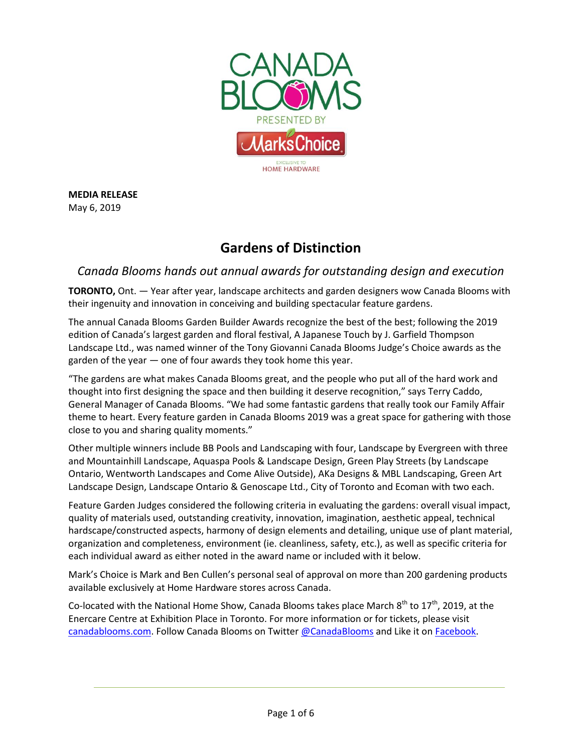

**MEDIA RELEASE** May 6, 2019

# **Gardens of Distinction**

## *Canada Blooms hands out annual awards for outstanding design and execution*

**TORONTO,** Ont. — Year after year, landscape architects and garden designers wow Canada Blooms with their ingenuity and innovation in conceiving and building spectacular feature gardens.

The annual Canada Blooms Garden Builder Awards recognize the best of the best; following the 2019 edition of Canada's largest garden and floral festival, A Japanese Touch by J. Garfield Thompson Landscape Ltd., was named winner of the Tony Giovanni Canada Blooms Judge's Choice awards as the garden of the year — one of four awards they took home this year.

"The gardens are what makes Canada Blooms great, and the people who put all of the hard work and thought into first designing the space and then building it deserve recognition," says Terry Caddo, General Manager of Canada Blooms. "We had some fantastic gardens that really took our Family Affair theme to heart. Every feature garden in Canada Blooms 2019 was a great space for gathering with those close to you and sharing quality moments."

Other multiple winners include BB Pools and Landscaping with four, Landscape by Evergreen with three and Mountainhill Landscape, Aquaspa Pools & Landscape Design, Green Play Streets (by Landscape Ontario, Wentworth Landscapes and Come Alive Outside), AKa Designs & MBL Landscaping, Green Art Landscape Design, Landscape Ontario & Genoscape Ltd., City of Toronto and Ecoman with two each.

Feature Garden Judges considered the following criteria in evaluating the gardens: overall visual impact, quality of materials used, outstanding creativity, innovation, imagination, aesthetic appeal, technical hardscape/constructed aspects, harmony of design elements and detailing, unique use of plant material, organization and completeness, environment (ie. cleanliness, safety, etc.), as well as specific criteria for each individual award as either noted in the award name or included with it below.

Mark's Choice is Mark and Ben Cullen's personal seal of approval on more than 200 gardening products available exclusively at Home Hardware stores across Canada.

Co-located with the National Home Show, Canada Blooms takes place March  $8^{th}$  to 17<sup>th</sup>, 2019, at the Enercare Centre at Exhibition Place in Toronto. For more information or for tickets, please visit [canadablooms.com.](http://www.canadablooms.com/) Follow Canada Blooms on Twitte[r @CanadaBlooms](http://www.twitter.com/canadablooms) and Like it o[n Facebook.](http://www.facebook.com/canadablooms)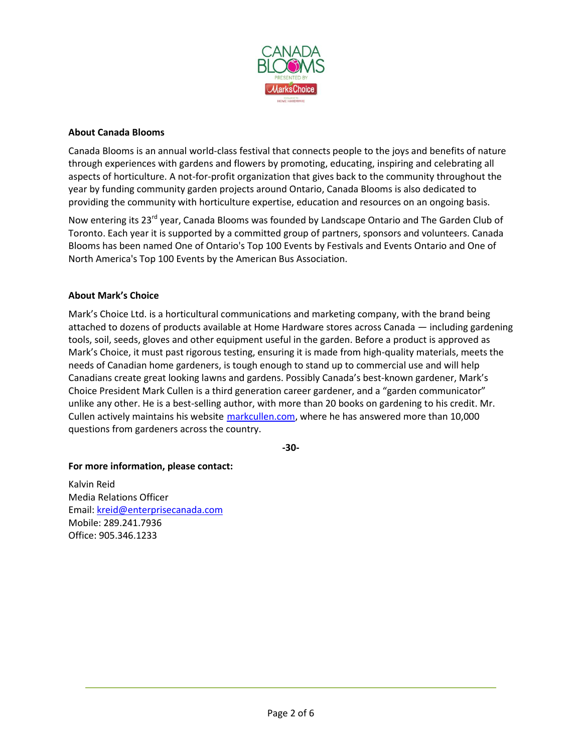

### **About Canada Blooms**

Canada Blooms is an annual world-class festival that connects people to the joys and benefits of nature through experiences with gardens and flowers by promoting, educating, inspiring and celebrating all aspects of horticulture. A not-for-profit organization that gives back to the community throughout the year by funding community garden projects around Ontario, Canada Blooms is also dedicated to providing the community with horticulture expertise, education and resources on an ongoing basis.

Now entering its 23<sup>rd</sup> year, Canada Blooms was founded by Landscape Ontario and The Garden Club of Toronto. Each year it is supported by a committed group of partners, sponsors and volunteers. Canada Blooms has been named One of Ontario's Top 100 Events by Festivals and Events Ontario and One of North America's Top 100 Events by the American Bus Association.

### **About Mark's Choice**

Mark's Choice Ltd. is a horticultural communications and marketing company, with the brand being attached to dozens of products available at Home Hardware stores across Canada — including gardening tools, soil, seeds, gloves and other equipment useful in the garden. Before a product is approved as Mark's Choice, it must past rigorous testing, ensuring it is made from high-quality materials, meets the needs of Canadian home gardeners, is tough enough to stand up to commercial use and will help Canadians create great looking lawns and gardens. Possibly Canada's best-known gardener, Mark's Choice President Mark Cullen is a third generation career gardener, and a "garden communicator" unlike any other. He is a best-selling author, with more than 20 books on gardening to his credit. Mr. Cullen actively maintains his website [markcullen.com,](http://www.markcullen.com/) where he has answered more than 10,000 questions from gardeners across the country.

**-30-**

### **For more information, please contact:**

Kalvin Reid Media Relations Officer Email: [kreid@enterprisecanada.com](mailto:kreid@enterprisecanada.com) Mobile: 289.241.7936 Office: 905.346.1233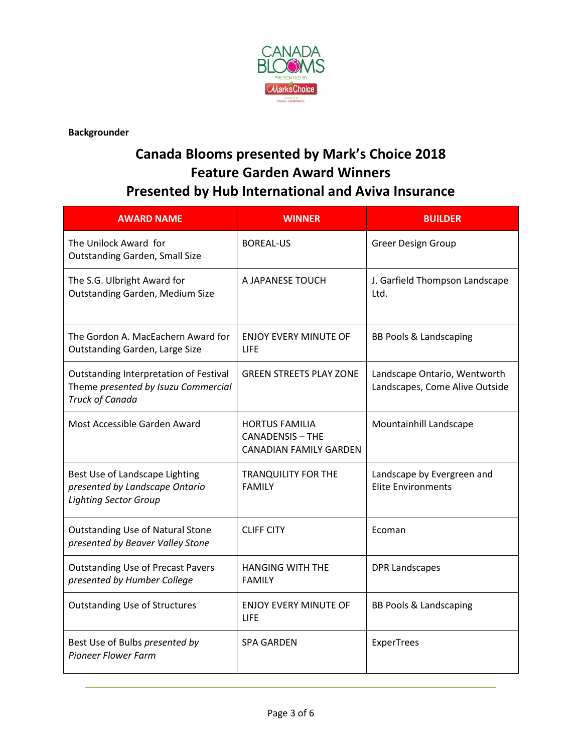

**Backgrounder**

# **Canada Blooms presented by Mark's Choice 2018 Feature Garden Award Winners Presented by Hub International and Aviva Insurance**

| <b>AWARD NAME</b>                                                                                | <b>WINNER</b>                                                                     | <b>BUILDER</b>                                                 |
|--------------------------------------------------------------------------------------------------|-----------------------------------------------------------------------------------|----------------------------------------------------------------|
| The Unilock Award for<br><b>Outstanding Garden, Small Size</b>                                   | <b>BOREAL-US</b>                                                                  | <b>Greer Design Group</b>                                      |
| The S.G. Ulbright Award for<br><b>Outstanding Garden, Medium Size</b>                            | A JAPANESE TOUCH                                                                  | J. Garfield Thompson Landscape<br>Ltd.                         |
| The Gordon A. MacEachern Award for<br>Outstanding Garden, Large Size                             | <b>ENJOY EVERY MINUTE OF</b><br>LIFE                                              | <b>BB Pools &amp; Landscaping</b>                              |
| Outstanding Interpretation of Festival<br>Theme presented by Isuzu Commercial<br>Truck of Canada | <b>GREEN STREETS PLAY ZONE</b>                                                    | Landscape Ontario, Wentworth<br>Landscapes, Come Alive Outside |
| Most Accessible Garden Award                                                                     | <b>HORTUS FAMILIA</b><br><b>CANADENSIS - THE</b><br><b>CANADIAN FAMILY GARDEN</b> | Mountainhill Landscape                                         |
| Best Use of Landscape Lighting<br>presented by Landscape Ontario<br><b>Lighting Sector Group</b> | <b>TRANQUILITY FOR THE</b><br><b>FAMILY</b>                                       | Landscape by Evergreen and<br><b>Elite Environments</b>        |
| <b>Outstanding Use of Natural Stone</b><br>presented by Beaver Valley Stone                      | <b>CLIFF CITY</b>                                                                 | Ecoman                                                         |
| <b>Outstanding Use of Precast Pavers</b><br>presented by Humber College                          | <b>HANGING WITH THE</b><br><b>FAMILY</b>                                          | <b>DPR Landscapes</b>                                          |
| <b>Outstanding Use of Structures</b>                                                             | <b>ENJOY EVERY MINUTE OF</b><br>LIFE                                              | <b>BB Pools &amp; Landscaping</b>                              |
| Best Use of Bulbs presented by<br><b>Pioneer Flower Farm</b>                                     | <b>SPA GARDEN</b>                                                                 | ExperTrees                                                     |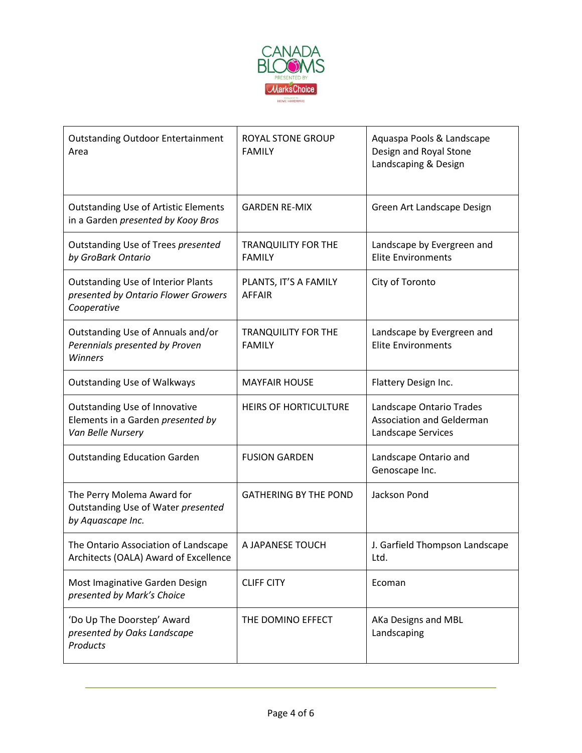

| <b>Outstanding Outdoor Entertainment</b><br>Area                                                | <b>ROYAL STONE GROUP</b><br><b>FAMILY</b>   | Aquaspa Pools & Landscape<br>Design and Royal Stone<br>Landscaping & Design |
|-------------------------------------------------------------------------------------------------|---------------------------------------------|-----------------------------------------------------------------------------|
| <b>Outstanding Use of Artistic Elements</b><br>in a Garden presented by Kooy Bros               | <b>GARDEN RE-MIX</b>                        | Green Art Landscape Design                                                  |
| Outstanding Use of Trees presented<br>by GroBark Ontario                                        | <b>TRANQUILITY FOR THE</b><br><b>FAMILY</b> | Landscape by Evergreen and<br><b>Elite Environments</b>                     |
| <b>Outstanding Use of Interior Plants</b><br>presented by Ontario Flower Growers<br>Cooperative | PLANTS, IT'S A FAMILY<br><b>AFFAIR</b>      | City of Toronto                                                             |
| Outstanding Use of Annuals and/or<br>Perennials presented by Proven<br><b>Winners</b>           | <b>TRANQUILITY FOR THE</b><br><b>FAMILY</b> | Landscape by Evergreen and<br><b>Elite Environments</b>                     |
| <b>Outstanding Use of Walkways</b>                                                              | <b>MAYFAIR HOUSE</b>                        | Flattery Design Inc.                                                        |
| <b>Outstanding Use of Innovative</b><br>Elements in a Garden presented by<br>Van Belle Nursery  | <b>HEIRS OF HORTICULTURE</b>                | Landscape Ontario Trades<br>Association and Gelderman<br>Landscape Services |
| <b>Outstanding Education Garden</b>                                                             | <b>FUSION GARDEN</b>                        | Landscape Ontario and<br>Genoscape Inc.                                     |
| The Perry Molema Award for<br>Outstanding Use of Water presented<br>by Aquascape Inc.           | <b>GATHERING BY THE POND</b>                | Jackson Pond                                                                |
| The Ontario Association of Landscape<br>Architects (OALA) Award of Excellence                   | A JAPANESE TOUCH                            | J. Garfield Thompson Landscape<br>Ltd.                                      |
| Most Imaginative Garden Design<br>presented by Mark's Choice                                    | <b>CLIFF CITY</b>                           | Ecoman                                                                      |
| 'Do Up The Doorstep' Award<br>presented by Oaks Landscape<br>Products                           | THE DOMINO EFFECT                           | AKa Designs and MBL<br>Landscaping                                          |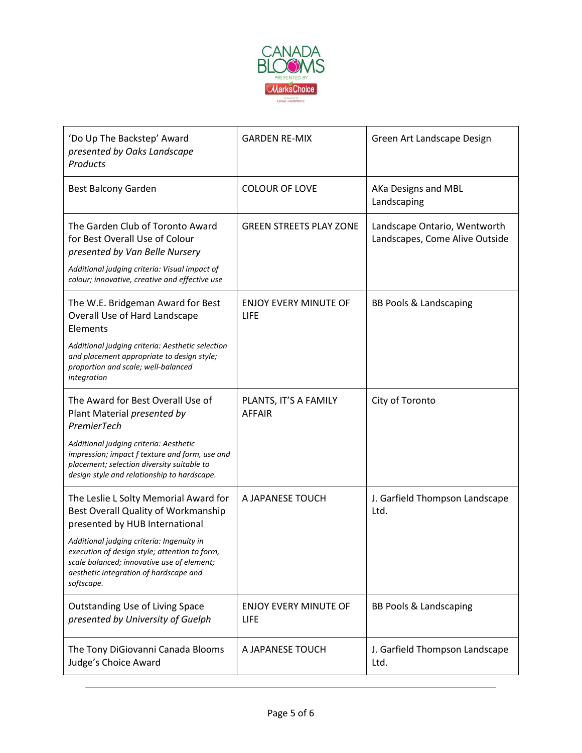

| 'Do Up The Backstep' Award<br>presented by Oaks Landscape<br><b>Products</b>                                                                                                                     | <b>GARDEN RE-MIX</b>                        | Green Art Landscape Design                                     |
|--------------------------------------------------------------------------------------------------------------------------------------------------------------------------------------------------|---------------------------------------------|----------------------------------------------------------------|
| <b>Best Balcony Garden</b>                                                                                                                                                                       | <b>COLOUR OF LOVE</b>                       | AKa Designs and MBL<br>Landscaping                             |
| The Garden Club of Toronto Award<br>for Best Overall Use of Colour<br>presented by Van Belle Nursery<br>Additional judging criteria: Visual impact of                                            | <b>GREEN STREETS PLAY ZONE</b>              | Landscape Ontario, Wentworth<br>Landscapes, Come Alive Outside |
| colour; innovative, creative and effective use                                                                                                                                                   |                                             |                                                                |
| The W.E. Bridgeman Award for Best<br>Overall Use of Hard Landscape<br>Elements                                                                                                                   | <b>ENJOY EVERY MINUTE OF</b><br><b>LIFE</b> | <b>BB Pools &amp; Landscaping</b>                              |
| Additional judging criteria: Aesthetic selection<br>and placement appropriate to design style;<br>proportion and scale; well-balanced<br>integration                                             |                                             |                                                                |
| The Award for Best Overall Use of<br>Plant Material presented by<br>PremierTech                                                                                                                  | PLANTS, IT'S A FAMILY<br><b>AFFAIR</b>      | City of Toronto                                                |
| Additional judging criteria: Aesthetic<br>impression; impact f texture and form, use and<br>placement; selection diversity suitable to<br>design style and relationship to hardscape.            |                                             |                                                                |
| The Leslie L Solty Memorial Award for<br>Best Overall Quality of Workmanship<br>presented by HUB International                                                                                   | A JAPANESE TOUCH                            | J. Garfield Thompson Landscape<br>Ltd.                         |
| Additional judging criteria: Ingenuity in<br>execution of design style; attention to form,<br>scale balanced; innovative use of element;<br>aesthetic integration of hardscape and<br>softscape. |                                             |                                                                |
| <b>Outstanding Use of Living Space</b><br>presented by University of Guelph                                                                                                                      | <b>ENJOY EVERY MINUTE OF</b><br>LIFE        | <b>BB Pools &amp; Landscaping</b>                              |
| The Tony DiGiovanni Canada Blooms<br>Judge's Choice Award                                                                                                                                        | A JAPANESE TOUCH                            | J. Garfield Thompson Landscape<br>Ltd.                         |